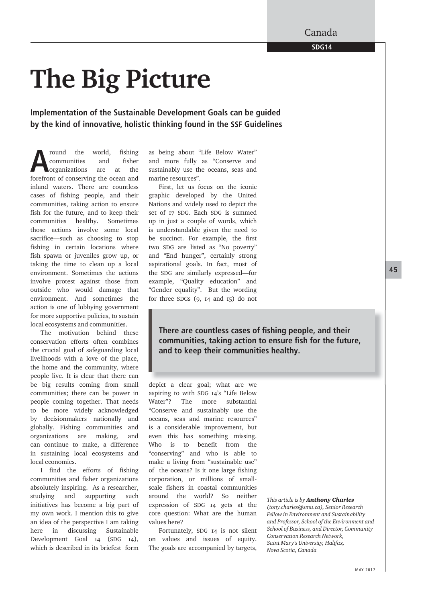Canada

**SDG14**

## **The Big Picture**

**Implementation of the Sustainable Development Goals can be guided by the kind of innovative, holistic thinking found in the SSF Guidelines**

**A**round the world, fishing communities and fisher organizations are at the forefront of conserving the ocean and communities and fisher organizations are at the inland waters. There are countless cases of fishing people, and their communities, taking action to ensure fish for the future, and to keep their communities healthy. Sometimes those actions involve some local sacrifice––such as choosing to stop fishing in certain locations where fish spawn or juveniles grow up, or taking the time to clean up a local environment. Sometimes the actions involve protest against those from outside who would damage that environment. And sometimes the action is one of lobbying government for more supportive policies, to sustain local ecosystems and communities.

The motivation behind these conservation efforts often combines the crucial goal of safeguarding local livelihoods with a love of the place, the home and the community, where people live. It is clear that there can be big results coming from small communities; there can be power in people coming together. That needs to be more widely acknowledged by decisionmakers nationally and globally. Fishing communities and organizations are making, and can continue to make, a difference in sustaining local ecosystems and local economies.

I find the efforts of fishing communities and fisher organizations absolutely inspiring. As a researcher, studying and supporting such initiatives has become a big part of my own work. I mention this to give an idea of the perspective I am taking here in discussing Sustainable Development Goal 14 (SDG 14), which is described in its briefest form as being about "Life Below Water" and more fully as "Conserve and sustainably use the oceans, seas and marine resources".

First, let us focus on the iconic graphic developed by the United Nations and widely used to depict the set of 17 SDG. Each SDG is summed up in just a couple of words, which is understandable given the need to be succinct. For example, the first two SDG are listed as "No poverty" and "End hunger", certainly strong aspirational goals. In fact, most of the SDG are similarly expressed—for example, "Quality education" and "Gender equality". But the wording for three SDGs (9, 14 and 15) do not

**There are countless cases of fishing people, and their** communities, taking action to ensure fish for the future, **and to keep their communities healthy.**

depict a clear goal; what are we aspiring to with SDG 14's "Life Below Water"? The more substantial "Conserve and sustainably use the oceans, seas and marine resources" is a considerable improvement, but even this has something missing. Who is to benefit from the "conserving" and who is able to make a living from "sustainable use" of the oceans? Is it one large fishing corporation, or millions of smallscale fishers in coastal communities around the world? So neither expression of SDG 14 gets at the core question: What are the human values here?

Fortunately, SDG 14 is not silent on values and issues of equity. The goals are accompanied by targets,

*This article is by Anthony Charles (tony.charles@smu.ca), Senior Research Fellow in Environment and Sustainability and Professor, School of the Environment and School of Business, and Director, Community Conservation Research Network, Saint Mary's University, Halifax, Nova Scotia, Canada*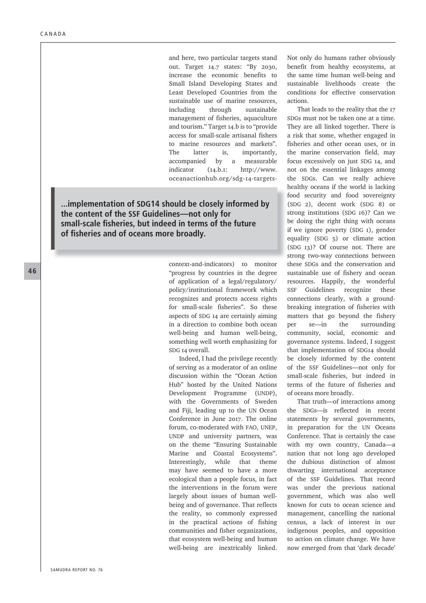and here, two particular targets stand out. Target 14.7 states: "By 2030, increase the economic benefits to Small Island Developing States and Least Developed Countries from the sustainable use of marine resources, including through sustainable management of fisheries, aquaculture and tourism." Target 14.b is to "provide access for small-scale artisanal fishers to marine resources and markets". The latter is, importantly, accompanied by a measurable indicator (14.b.1: http://www. oceanactionhub.org/sdg-14-targets-

**...implementation of SDG14 should be closely informed by the content of the SSF Guidelines––not only for small-scale fi sheries, but indeed in terms of the future**  of fisheries and of oceans more broadly.

> context-and-indicators) to monitor "progress by countries in the degree of application of a legal/regulatory/ policy/institutional framework which recognizes and protects access rights for small-scale fisheries". So these aspects of SDG 14 are certainly aiming in a direction to combine both ocean well-being and human well-being, something well worth emphasizing for SDG 14 overall.

> Indeed, I had the privilege recently of serving as a moderator of an online discussion within the "Ocean Action Hub" hosted by the United Nations Development Programme (UNDP), with the Governments of Sweden and Fiji, leading up to the UN Ocean Conference in June 2017. The online forum, co-moderated with FAO, UNEP, UNDP and university partners, was on the theme "Ensuring Sustainable Marine and Coastal Ecosystems". Interestingly, while that theme may have seemed to have a more ecological than a people focus, in fact the interventions in the forum were largely about issues of human wellbeing and of governance. That reflects the reality, so commonly expressed in the practical actions of fishing communities and fisher organizations, that ecosystem well-being and human well-being are inextricably linked.

Not only do humans rather obviously benefit from healthy ecosystems, at the same time human well-being and sustainable livelihoods create the conditions for effective conservation actions.

That leads to the reality that the 17 SDGs must not be taken one at a time. They are all linked together. There is a risk that some, whether engaged in fisheries and other ocean uses, or in the marine conservation field, may focus excessively on just SDG 14, and not on the essential linkages among the SDGs. Can we really achieve healthy oceans if the world is lacking h food security and food sovereignty fo (SDG 2), decent work (SDG 8) or ( strong institutions (SDG 16)? Can we st be doing the right thing with oceans b if we ignore poverty (SDG 1), gender if equality (SDG 5) or climate action (SDG 13)? Of course not. There are ( strong two-way connections between these SDGs and the conservation and h sustainable use of fishery and ocean resources. Happily, the wonderful SSF Guidelines recognize these connections clearly, with a groundbreaking integration of fisheries with matters that go beyond the fishery per se––in the surrounding community, social, economic and governance systems. Indeed, I suggest that implementation of SDG14 should be closely informed by the content of the SSF Guidelines––not only for small-scale fisheries, but indeed in terms of the future of fisheries and of oceans more broadly.

That truth—of interactions among the SDGs—is reflected in recent statements by several governments, in preparation for the UN Oceans Conference. That is certainly the case with my own country, Canada––a nation that not long ago developed the dubious distinction of almost thwarting international acceptance of the SSF Guidelines. That record was under the previous national government, which was also well known for cuts to ocean science and management, cancelling the national census, a lack of interest in our indigenous peoples, and opposition to action on climate change. We have now emerged from that 'dark decade'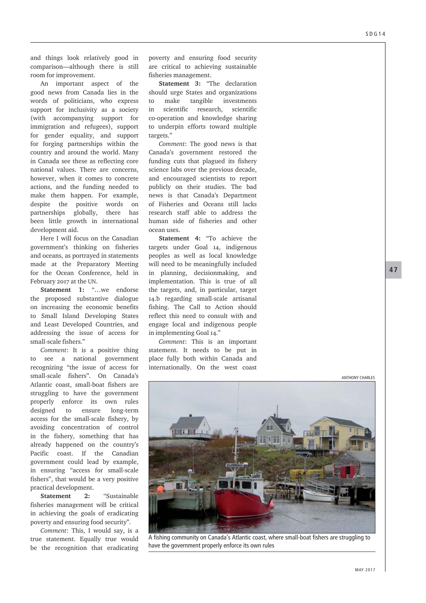and things look relatively good in comparison—although there is still room for improvement.

An important aspect of the good news from Canada lies in the words of politicians, who express support for inclusivity as a society (with accompanying support for immigration and refugees), support for gender equality, and support for forging partnerships within the country and around the world. Many in Canada see these as reflecting core national values. There are concerns, however, when it comes to concrete actions, and the funding needed to make them happen. For example, despite the positive words on partnerships globally, there has been little growth in international development aid.

Here I will focus on the Canadian government's thinking on fisheries and oceans, as portrayed in statements made at the Preparatory Meeting for the Ocean Conference, held in February 2017 at the UN.

**Statement 1:** "…we endorse the proposed substantive dialogue on increasing the economic benefits to Small Island Developing States and Least Developed Countries, and addressing the issue of access for small-scale fishers."

*Comment*: It is a positive thing to see a national government recognizing "the issue of access for small-scale fishers". On Canada's Atlantic coast, small-boat fishers are struggling to have the government properly enforce its own rules designed to ensure long-term access for the small-scale fishery, by avoiding concentration of control in the fishery, something that has already happened on the country's Pacific coast. If the Canadian government could lead by example, in ensuring "access for small-scale fishers", that would be a very positive practical development.

**Statement 2:** "Sustainable fisheries management will be critical in achieving the goals of eradicating poverty and ensuring food security".

*Comment*: This, I would say, is a true statement. Equally true would be the recognition that eradicating poverty and ensuring food security are critical to achieving sustainable fisheries management.

**Statement 3:** "The declaration should urge States and organizations to make tangible investments in scientific research, scientific co-operation and knowledge sharing to underpin efforts toward multiple targets."

*Comment*: The good news is that Canada's government restored the funding cuts that plagued its fishery science labs over the previous decade, and encouraged scientists to report publicly on their studies. The bad news is that Canada's Department of Fisheries and Oceans still lacks research staff able to address the human side of fisheries and other ocean uses.

**Statement 4:** "To achieve the targets under Goal 14, indigenous peoples as well as local knowledge will need to be meaningfully included in planning, decisionmaking, and implementation. This is true of all the targets, and, in particular, target 14.b regarding small-scale artisanal fishing. The Call to Action should reflect this need to consult with and engage local and indigenous people in implementing Goal 14."

*Comment*: This is an important statement. It needs to be put in place fully both within Canada and internationally. On the west coast

A fishing community on Canada's Atlantic coast, where small-boat fishers are struggling to have the government properly enforce its own rules

ANTHONY CHARLES